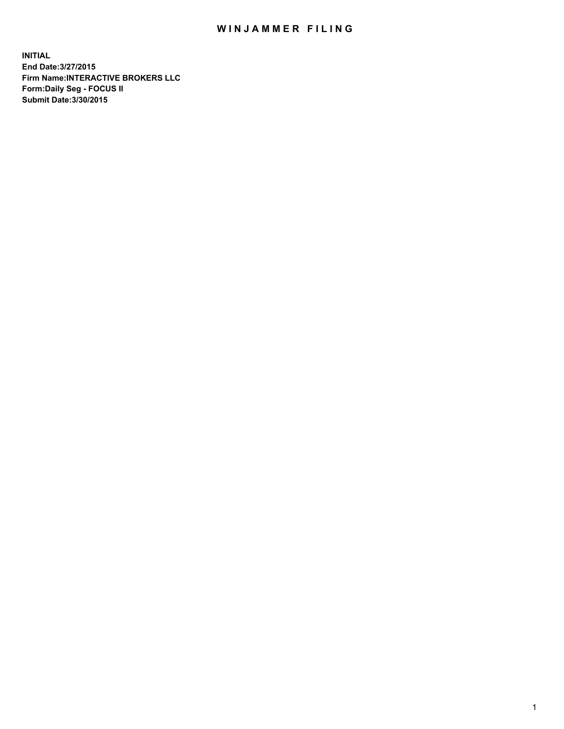## WIN JAMMER FILING

**INITIAL End Date:3/27/2015 Firm Name:INTERACTIVE BROKERS LLC Form:Daily Seg - FOCUS II Submit Date:3/30/2015**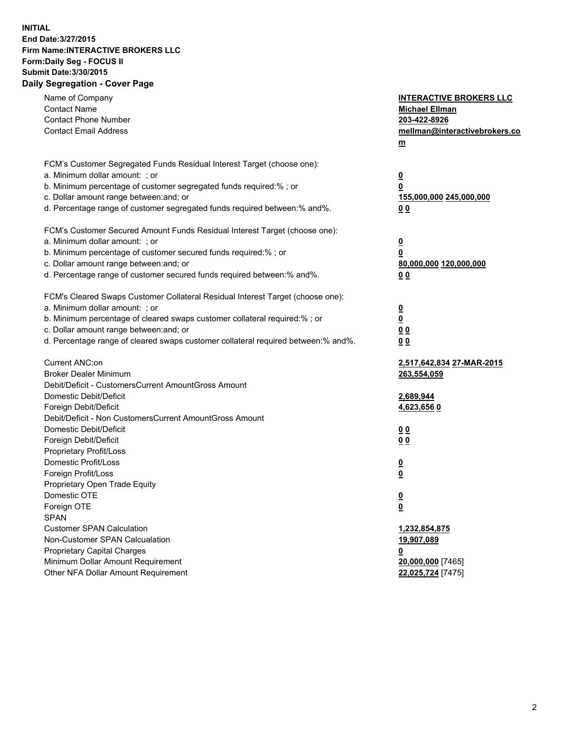## **INITIAL End Date:3/27/2015 Firm Name:INTERACTIVE BROKERS LLC Form:Daily Seg - FOCUS II Submit Date:3/30/2015 Daily Segregation - Cover Page**

| Name of Company                                                                   | <b>INTERACTIVE BROKERS LLC</b> |
|-----------------------------------------------------------------------------------|--------------------------------|
| <b>Contact Name</b>                                                               | <b>Michael Ellman</b>          |
| <b>Contact Phone Number</b>                                                       | 203-422-8926                   |
| <b>Contact Email Address</b>                                                      | mellman@interactivebrokers.co  |
|                                                                                   | $\underline{\mathbf{m}}$       |
|                                                                                   |                                |
| FCM's Customer Segregated Funds Residual Interest Target (choose one):            |                                |
| a. Minimum dollar amount: ; or                                                    | <u>0</u>                       |
| b. Minimum percentage of customer segregated funds required:% ; or                | 0                              |
| c. Dollar amount range between: and; or                                           | <u>155,000,000 245,000,000</u> |
| d. Percentage range of customer segregated funds required between:% and%.         | 00                             |
| FCM's Customer Secured Amount Funds Residual Interest Target (choose one):        |                                |
| a. Minimum dollar amount: ; or                                                    | <u>0</u>                       |
| b. Minimum percentage of customer secured funds required:% ; or                   | 0                              |
| c. Dollar amount range between: and; or                                           | 80,000,000 120,000,000         |
| d. Percentage range of customer secured funds required between:% and%.            | 0 <sub>0</sub>                 |
|                                                                                   |                                |
| FCM's Cleared Swaps Customer Collateral Residual Interest Target (choose one):    |                                |
| a. Minimum dollar amount: ; or                                                    | $\overline{\mathbf{0}}$        |
| b. Minimum percentage of cleared swaps customer collateral required:% ; or        | $\overline{\mathbf{0}}$        |
| c. Dollar amount range between: and; or                                           | 0 <sub>0</sub>                 |
| d. Percentage range of cleared swaps customer collateral required between:% and%. | 0 <sub>0</sub>                 |
|                                                                                   |                                |
| Current ANC:on                                                                    | 2,517,642,834 27-MAR-2015      |
| <b>Broker Dealer Minimum</b>                                                      | 263,554,059                    |
| Debit/Deficit - CustomersCurrent AmountGross Amount                               |                                |
| Domestic Debit/Deficit                                                            | 2,689,944                      |
| Foreign Debit/Deficit                                                             | 4,623,656 0                    |
| Debit/Deficit - Non CustomersCurrent AmountGross Amount                           |                                |
| Domestic Debit/Deficit                                                            | 0 <sub>0</sub>                 |
| Foreign Debit/Deficit                                                             | 0 <sub>0</sub>                 |
| Proprietary Profit/Loss                                                           |                                |
| Domestic Profit/Loss                                                              | <u>0</u>                       |
| Foreign Profit/Loss                                                               | $\underline{\mathbf{0}}$       |
| Proprietary Open Trade Equity                                                     |                                |
| Domestic OTE                                                                      | <u>0</u>                       |
| Foreign OTE                                                                       | <u>0</u>                       |
| <b>SPAN</b>                                                                       |                                |
| <b>Customer SPAN Calculation</b>                                                  | 1,232,854,875                  |
| Non-Customer SPAN Calcualation                                                    | 19,907,089                     |
| <b>Proprietary Capital Charges</b>                                                | <u>0</u>                       |
| Minimum Dollar Amount Requirement                                                 | 20,000,000 [7465]              |
| Other NFA Dollar Amount Requirement                                               | 22,025,724 [7475]              |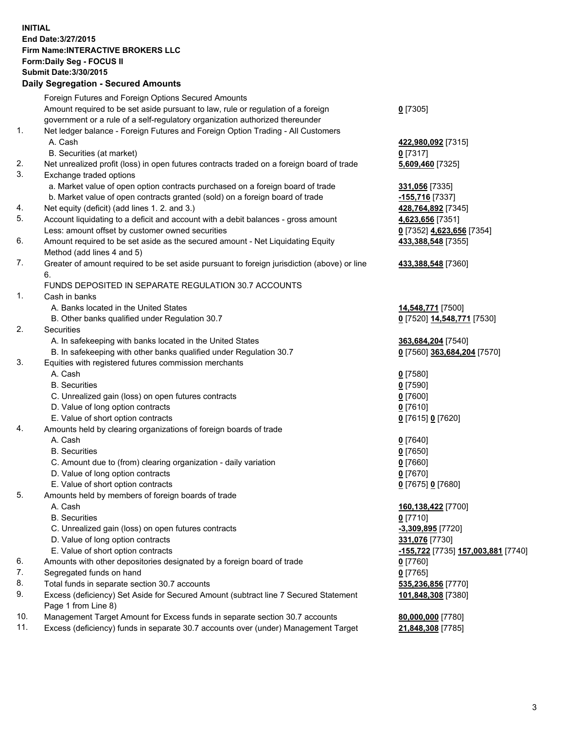## **INITIAL End Date:3/27/2015 Firm Name:INTERACTIVE BROKERS LLC Form:Daily Seg - FOCUS II Submit Date:3/30/2015 Daily Segregation - Secured Amounts**

| any ovgrogation oooaroa Amoante                                                           |                                                                                                                                                                                                                                                                                                                                                                                                                                                                                                                                                                                                                                                                                                                                                                                                                                                                                                                                                                                                                                                                                                                                                                                                                                                                                                                                                                                                                                                                                                                                                                                                                                                                                                                                                                                                                                                                                                                                                                                                                               |
|-------------------------------------------------------------------------------------------|-------------------------------------------------------------------------------------------------------------------------------------------------------------------------------------------------------------------------------------------------------------------------------------------------------------------------------------------------------------------------------------------------------------------------------------------------------------------------------------------------------------------------------------------------------------------------------------------------------------------------------------------------------------------------------------------------------------------------------------------------------------------------------------------------------------------------------------------------------------------------------------------------------------------------------------------------------------------------------------------------------------------------------------------------------------------------------------------------------------------------------------------------------------------------------------------------------------------------------------------------------------------------------------------------------------------------------------------------------------------------------------------------------------------------------------------------------------------------------------------------------------------------------------------------------------------------------------------------------------------------------------------------------------------------------------------------------------------------------------------------------------------------------------------------------------------------------------------------------------------------------------------------------------------------------------------------------------------------------------------------------------------------------|
| Foreign Futures and Foreign Options Secured Amounts                                       |                                                                                                                                                                                                                                                                                                                                                                                                                                                                                                                                                                                                                                                                                                                                                                                                                                                                                                                                                                                                                                                                                                                                                                                                                                                                                                                                                                                                                                                                                                                                                                                                                                                                                                                                                                                                                                                                                                                                                                                                                               |
| Amount required to be set aside pursuant to law, rule or regulation of a foreign          | $0$ [7305]                                                                                                                                                                                                                                                                                                                                                                                                                                                                                                                                                                                                                                                                                                                                                                                                                                                                                                                                                                                                                                                                                                                                                                                                                                                                                                                                                                                                                                                                                                                                                                                                                                                                                                                                                                                                                                                                                                                                                                                                                    |
| government or a rule of a self-regulatory organization authorized thereunder              |                                                                                                                                                                                                                                                                                                                                                                                                                                                                                                                                                                                                                                                                                                                                                                                                                                                                                                                                                                                                                                                                                                                                                                                                                                                                                                                                                                                                                                                                                                                                                                                                                                                                                                                                                                                                                                                                                                                                                                                                                               |
| Net ledger balance - Foreign Futures and Foreign Option Trading - All Customers           |                                                                                                                                                                                                                                                                                                                                                                                                                                                                                                                                                                                                                                                                                                                                                                                                                                                                                                                                                                                                                                                                                                                                                                                                                                                                                                                                                                                                                                                                                                                                                                                                                                                                                                                                                                                                                                                                                                                                                                                                                               |
| A. Cash                                                                                   | 422,980,092 [7315]                                                                                                                                                                                                                                                                                                                                                                                                                                                                                                                                                                                                                                                                                                                                                                                                                                                                                                                                                                                                                                                                                                                                                                                                                                                                                                                                                                                                                                                                                                                                                                                                                                                                                                                                                                                                                                                                                                                                                                                                            |
| B. Securities (at market)                                                                 | $0$ [7317]                                                                                                                                                                                                                                                                                                                                                                                                                                                                                                                                                                                                                                                                                                                                                                                                                                                                                                                                                                                                                                                                                                                                                                                                                                                                                                                                                                                                                                                                                                                                                                                                                                                                                                                                                                                                                                                                                                                                                                                                                    |
| Net unrealized profit (loss) in open futures contracts traded on a foreign board of trade | 5,609,460 [7325]                                                                                                                                                                                                                                                                                                                                                                                                                                                                                                                                                                                                                                                                                                                                                                                                                                                                                                                                                                                                                                                                                                                                                                                                                                                                                                                                                                                                                                                                                                                                                                                                                                                                                                                                                                                                                                                                                                                                                                                                              |
| Exchange traded options                                                                   |                                                                                                                                                                                                                                                                                                                                                                                                                                                                                                                                                                                                                                                                                                                                                                                                                                                                                                                                                                                                                                                                                                                                                                                                                                                                                                                                                                                                                                                                                                                                                                                                                                                                                                                                                                                                                                                                                                                                                                                                                               |
|                                                                                           | 331,056 [7335]                                                                                                                                                                                                                                                                                                                                                                                                                                                                                                                                                                                                                                                                                                                                                                                                                                                                                                                                                                                                                                                                                                                                                                                                                                                                                                                                                                                                                                                                                                                                                                                                                                                                                                                                                                                                                                                                                                                                                                                                                |
|                                                                                           | -155,716 [7337]                                                                                                                                                                                                                                                                                                                                                                                                                                                                                                                                                                                                                                                                                                                                                                                                                                                                                                                                                                                                                                                                                                                                                                                                                                                                                                                                                                                                                                                                                                                                                                                                                                                                                                                                                                                                                                                                                                                                                                                                               |
|                                                                                           | 428,764,892 [7345]                                                                                                                                                                                                                                                                                                                                                                                                                                                                                                                                                                                                                                                                                                                                                                                                                                                                                                                                                                                                                                                                                                                                                                                                                                                                                                                                                                                                                                                                                                                                                                                                                                                                                                                                                                                                                                                                                                                                                                                                            |
|                                                                                           | 4,623,656 [7351]                                                                                                                                                                                                                                                                                                                                                                                                                                                                                                                                                                                                                                                                                                                                                                                                                                                                                                                                                                                                                                                                                                                                                                                                                                                                                                                                                                                                                                                                                                                                                                                                                                                                                                                                                                                                                                                                                                                                                                                                              |
|                                                                                           | 0 [7352] 4,623,656 [7354]                                                                                                                                                                                                                                                                                                                                                                                                                                                                                                                                                                                                                                                                                                                                                                                                                                                                                                                                                                                                                                                                                                                                                                                                                                                                                                                                                                                                                                                                                                                                                                                                                                                                                                                                                                                                                                                                                                                                                                                                     |
|                                                                                           | 433,388,548 [7355]                                                                                                                                                                                                                                                                                                                                                                                                                                                                                                                                                                                                                                                                                                                                                                                                                                                                                                                                                                                                                                                                                                                                                                                                                                                                                                                                                                                                                                                                                                                                                                                                                                                                                                                                                                                                                                                                                                                                                                                                            |
|                                                                                           |                                                                                                                                                                                                                                                                                                                                                                                                                                                                                                                                                                                                                                                                                                                                                                                                                                                                                                                                                                                                                                                                                                                                                                                                                                                                                                                                                                                                                                                                                                                                                                                                                                                                                                                                                                                                                                                                                                                                                                                                                               |
|                                                                                           | 433,388,548 [7360]                                                                                                                                                                                                                                                                                                                                                                                                                                                                                                                                                                                                                                                                                                                                                                                                                                                                                                                                                                                                                                                                                                                                                                                                                                                                                                                                                                                                                                                                                                                                                                                                                                                                                                                                                                                                                                                                                                                                                                                                            |
| 6.                                                                                        |                                                                                                                                                                                                                                                                                                                                                                                                                                                                                                                                                                                                                                                                                                                                                                                                                                                                                                                                                                                                                                                                                                                                                                                                                                                                                                                                                                                                                                                                                                                                                                                                                                                                                                                                                                                                                                                                                                                                                                                                                               |
|                                                                                           |                                                                                                                                                                                                                                                                                                                                                                                                                                                                                                                                                                                                                                                                                                                                                                                                                                                                                                                                                                                                                                                                                                                                                                                                                                                                                                                                                                                                                                                                                                                                                                                                                                                                                                                                                                                                                                                                                                                                                                                                                               |
|                                                                                           |                                                                                                                                                                                                                                                                                                                                                                                                                                                                                                                                                                                                                                                                                                                                                                                                                                                                                                                                                                                                                                                                                                                                                                                                                                                                                                                                                                                                                                                                                                                                                                                                                                                                                                                                                                                                                                                                                                                                                                                                                               |
|                                                                                           | 14,548,771 [7500]                                                                                                                                                                                                                                                                                                                                                                                                                                                                                                                                                                                                                                                                                                                                                                                                                                                                                                                                                                                                                                                                                                                                                                                                                                                                                                                                                                                                                                                                                                                                                                                                                                                                                                                                                                                                                                                                                                                                                                                                             |
|                                                                                           | 0 [7520] 14,548,771 [7530]                                                                                                                                                                                                                                                                                                                                                                                                                                                                                                                                                                                                                                                                                                                                                                                                                                                                                                                                                                                                                                                                                                                                                                                                                                                                                                                                                                                                                                                                                                                                                                                                                                                                                                                                                                                                                                                                                                                                                                                                    |
|                                                                                           |                                                                                                                                                                                                                                                                                                                                                                                                                                                                                                                                                                                                                                                                                                                                                                                                                                                                                                                                                                                                                                                                                                                                                                                                                                                                                                                                                                                                                                                                                                                                                                                                                                                                                                                                                                                                                                                                                                                                                                                                                               |
|                                                                                           | 363,684,204 [7540]                                                                                                                                                                                                                                                                                                                                                                                                                                                                                                                                                                                                                                                                                                                                                                                                                                                                                                                                                                                                                                                                                                                                                                                                                                                                                                                                                                                                                                                                                                                                                                                                                                                                                                                                                                                                                                                                                                                                                                                                            |
|                                                                                           | 0 [7560] 363,684,204 [7570]                                                                                                                                                                                                                                                                                                                                                                                                                                                                                                                                                                                                                                                                                                                                                                                                                                                                                                                                                                                                                                                                                                                                                                                                                                                                                                                                                                                                                                                                                                                                                                                                                                                                                                                                                                                                                                                                                                                                                                                                   |
|                                                                                           |                                                                                                                                                                                                                                                                                                                                                                                                                                                                                                                                                                                                                                                                                                                                                                                                                                                                                                                                                                                                                                                                                                                                                                                                                                                                                                                                                                                                                                                                                                                                                                                                                                                                                                                                                                                                                                                                                                                                                                                                                               |
|                                                                                           | $0$ [7580]                                                                                                                                                                                                                                                                                                                                                                                                                                                                                                                                                                                                                                                                                                                                                                                                                                                                                                                                                                                                                                                                                                                                                                                                                                                                                                                                                                                                                                                                                                                                                                                                                                                                                                                                                                                                                                                                                                                                                                                                                    |
|                                                                                           | $0$ [7590]                                                                                                                                                                                                                                                                                                                                                                                                                                                                                                                                                                                                                                                                                                                                                                                                                                                                                                                                                                                                                                                                                                                                                                                                                                                                                                                                                                                                                                                                                                                                                                                                                                                                                                                                                                                                                                                                                                                                                                                                                    |
|                                                                                           | $0$ [7600]                                                                                                                                                                                                                                                                                                                                                                                                                                                                                                                                                                                                                                                                                                                                                                                                                                                                                                                                                                                                                                                                                                                                                                                                                                                                                                                                                                                                                                                                                                                                                                                                                                                                                                                                                                                                                                                                                                                                                                                                                    |
|                                                                                           | $0$ [7610]                                                                                                                                                                                                                                                                                                                                                                                                                                                                                                                                                                                                                                                                                                                                                                                                                                                                                                                                                                                                                                                                                                                                                                                                                                                                                                                                                                                                                                                                                                                                                                                                                                                                                                                                                                                                                                                                                                                                                                                                                    |
|                                                                                           | 0 [7615] 0 [7620]                                                                                                                                                                                                                                                                                                                                                                                                                                                                                                                                                                                                                                                                                                                                                                                                                                                                                                                                                                                                                                                                                                                                                                                                                                                                                                                                                                                                                                                                                                                                                                                                                                                                                                                                                                                                                                                                                                                                                                                                             |
|                                                                                           |                                                                                                                                                                                                                                                                                                                                                                                                                                                                                                                                                                                                                                                                                                                                                                                                                                                                                                                                                                                                                                                                                                                                                                                                                                                                                                                                                                                                                                                                                                                                                                                                                                                                                                                                                                                                                                                                                                                                                                                                                               |
|                                                                                           | $0$ [7640]                                                                                                                                                                                                                                                                                                                                                                                                                                                                                                                                                                                                                                                                                                                                                                                                                                                                                                                                                                                                                                                                                                                                                                                                                                                                                                                                                                                                                                                                                                                                                                                                                                                                                                                                                                                                                                                                                                                                                                                                                    |
|                                                                                           | $0$ [7650]                                                                                                                                                                                                                                                                                                                                                                                                                                                                                                                                                                                                                                                                                                                                                                                                                                                                                                                                                                                                                                                                                                                                                                                                                                                                                                                                                                                                                                                                                                                                                                                                                                                                                                                                                                                                                                                                                                                                                                                                                    |
|                                                                                           | $0$ [7660]                                                                                                                                                                                                                                                                                                                                                                                                                                                                                                                                                                                                                                                                                                                                                                                                                                                                                                                                                                                                                                                                                                                                                                                                                                                                                                                                                                                                                                                                                                                                                                                                                                                                                                                                                                                                                                                                                                                                                                                                                    |
|                                                                                           | $0$ [7670]                                                                                                                                                                                                                                                                                                                                                                                                                                                                                                                                                                                                                                                                                                                                                                                                                                                                                                                                                                                                                                                                                                                                                                                                                                                                                                                                                                                                                                                                                                                                                                                                                                                                                                                                                                                                                                                                                                                                                                                                                    |
|                                                                                           | 0 [7675] 0 [7680]                                                                                                                                                                                                                                                                                                                                                                                                                                                                                                                                                                                                                                                                                                                                                                                                                                                                                                                                                                                                                                                                                                                                                                                                                                                                                                                                                                                                                                                                                                                                                                                                                                                                                                                                                                                                                                                                                                                                                                                                             |
|                                                                                           |                                                                                                                                                                                                                                                                                                                                                                                                                                                                                                                                                                                                                                                                                                                                                                                                                                                                                                                                                                                                                                                                                                                                                                                                                                                                                                                                                                                                                                                                                                                                                                                                                                                                                                                                                                                                                                                                                                                                                                                                                               |
|                                                                                           | 160,138,422 [7700]                                                                                                                                                                                                                                                                                                                                                                                                                                                                                                                                                                                                                                                                                                                                                                                                                                                                                                                                                                                                                                                                                                                                                                                                                                                                                                                                                                                                                                                                                                                                                                                                                                                                                                                                                                                                                                                                                                                                                                                                            |
|                                                                                           | $0$ [7710]                                                                                                                                                                                                                                                                                                                                                                                                                                                                                                                                                                                                                                                                                                                                                                                                                                                                                                                                                                                                                                                                                                                                                                                                                                                                                                                                                                                                                                                                                                                                                                                                                                                                                                                                                                                                                                                                                                                                                                                                                    |
|                                                                                           | -3,309,895 [7720]                                                                                                                                                                                                                                                                                                                                                                                                                                                                                                                                                                                                                                                                                                                                                                                                                                                                                                                                                                                                                                                                                                                                                                                                                                                                                                                                                                                                                                                                                                                                                                                                                                                                                                                                                                                                                                                                                                                                                                                                             |
|                                                                                           | 331,076 [7730]                                                                                                                                                                                                                                                                                                                                                                                                                                                                                                                                                                                                                                                                                                                                                                                                                                                                                                                                                                                                                                                                                                                                                                                                                                                                                                                                                                                                                                                                                                                                                                                                                                                                                                                                                                                                                                                                                                                                                                                                                |
|                                                                                           | -155,722 [7735] 157,003,881 [7740]                                                                                                                                                                                                                                                                                                                                                                                                                                                                                                                                                                                                                                                                                                                                                                                                                                                                                                                                                                                                                                                                                                                                                                                                                                                                                                                                                                                                                                                                                                                                                                                                                                                                                                                                                                                                                                                                                                                                                                                            |
|                                                                                           | 0 [7760]                                                                                                                                                                                                                                                                                                                                                                                                                                                                                                                                                                                                                                                                                                                                                                                                                                                                                                                                                                                                                                                                                                                                                                                                                                                                                                                                                                                                                                                                                                                                                                                                                                                                                                                                                                                                                                                                                                                                                                                                                      |
|                                                                                           | $0$ [7765]                                                                                                                                                                                                                                                                                                                                                                                                                                                                                                                                                                                                                                                                                                                                                                                                                                                                                                                                                                                                                                                                                                                                                                                                                                                                                                                                                                                                                                                                                                                                                                                                                                                                                                                                                                                                                                                                                                                                                                                                                    |
|                                                                                           | 535,236,856 [7770]                                                                                                                                                                                                                                                                                                                                                                                                                                                                                                                                                                                                                                                                                                                                                                                                                                                                                                                                                                                                                                                                                                                                                                                                                                                                                                                                                                                                                                                                                                                                                                                                                                                                                                                                                                                                                                                                                                                                                                                                            |
| Page 1 from Line 8)                                                                       | 101,848,308 [7380]                                                                                                                                                                                                                                                                                                                                                                                                                                                                                                                                                                                                                                                                                                                                                                                                                                                                                                                                                                                                                                                                                                                                                                                                                                                                                                                                                                                                                                                                                                                                                                                                                                                                                                                                                                                                                                                                                                                                                                                                            |
|                                                                                           | 80,000,000 [7780]                                                                                                                                                                                                                                                                                                                                                                                                                                                                                                                                                                                                                                                                                                                                                                                                                                                                                                                                                                                                                                                                                                                                                                                                                                                                                                                                                                                                                                                                                                                                                                                                                                                                                                                                                                                                                                                                                                                                                                                                             |
|                                                                                           | 21,848,308 [7785]                                                                                                                                                                                                                                                                                                                                                                                                                                                                                                                                                                                                                                                                                                                                                                                                                                                                                                                                                                                                                                                                                                                                                                                                                                                                                                                                                                                                                                                                                                                                                                                                                                                                                                                                                                                                                                                                                                                                                                                                             |
|                                                                                           | a. Market value of open option contracts purchased on a foreign board of trade<br>b. Market value of open contracts granted (sold) on a foreign board of trade<br>Net equity (deficit) (add lines 1.2. and 3.)<br>Account liquidating to a deficit and account with a debit balances - gross amount<br>Less: amount offset by customer owned securities<br>Amount required to be set aside as the secured amount - Net Liquidating Equity<br>Method (add lines 4 and 5)<br>Greater of amount required to be set aside pursuant to foreign jurisdiction (above) or line<br>FUNDS DEPOSITED IN SEPARATE REGULATION 30.7 ACCOUNTS<br>Cash in banks<br>A. Banks located in the United States<br>B. Other banks qualified under Regulation 30.7<br>Securities<br>A. In safekeeping with banks located in the United States<br>B. In safekeeping with other banks qualified under Regulation 30.7<br>Equities with registered futures commission merchants<br>A. Cash<br><b>B.</b> Securities<br>C. Unrealized gain (loss) on open futures contracts<br>D. Value of long option contracts<br>E. Value of short option contracts<br>Amounts held by clearing organizations of foreign boards of trade<br>A. Cash<br><b>B.</b> Securities<br>C. Amount due to (from) clearing organization - daily variation<br>D. Value of long option contracts<br>E. Value of short option contracts<br>Amounts held by members of foreign boards of trade<br>A. Cash<br><b>B.</b> Securities<br>C. Unrealized gain (loss) on open futures contracts<br>D. Value of long option contracts<br>E. Value of short option contracts<br>Amounts with other depositories designated by a foreign board of trade<br>Segregated funds on hand<br>Total funds in separate section 30.7 accounts<br>Excess (deficiency) Set Aside for Secured Amount (subtract line 7 Secured Statement<br>Management Target Amount for Excess funds in separate section 30.7 accounts<br>Excess (deficiency) funds in separate 30.7 accounts over (under) Management Target |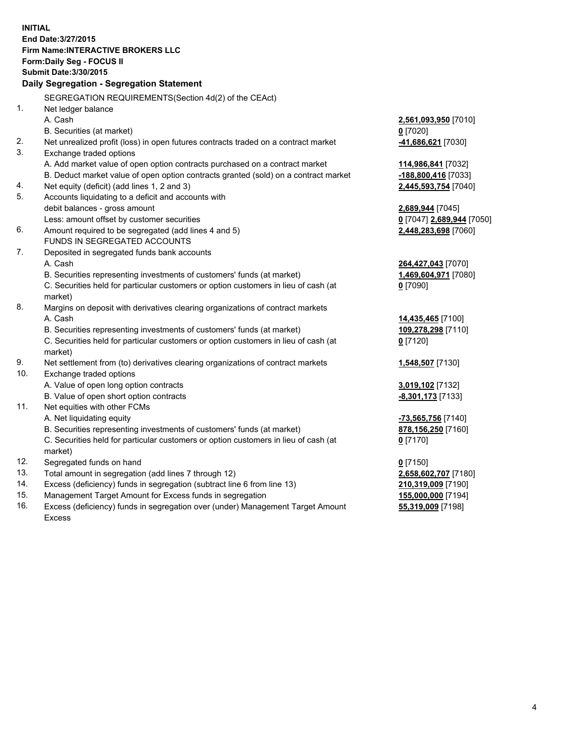**INITIAL End Date:3/27/2015 Firm Name:INTERACTIVE BROKERS LLC Form:Daily Seg - FOCUS II Submit Date:3/30/2015 Daily Segregation - Segregation Statement** SEGREGATION REQUIREMENTS(Section 4d(2) of the CEAct) 1. Net ledger balance A. Cash **2,561,093,950** [7010] B. Securities (at market) **0** [7020] 2. Net unrealized profit (loss) in open futures contracts traded on a contract market **-41,686,621** [7030] 3. Exchange traded options A. Add market value of open option contracts purchased on a contract market **114,986,841** [7032] B. Deduct market value of open option contracts granted (sold) on a contract market **-188,800,416** [7033] 4. Net equity (deficit) (add lines 1, 2 and 3) **2,445,593,754** [7040] 5. Accounts liquidating to a deficit and accounts with debit balances - gross amount **2,689,944** [7045] Less: amount offset by customer securities **0** [7047] **2,689,944** [7050] 6. Amount required to be segregated (add lines 4 and 5) **2,448,283,698** [7060] FUNDS IN SEGREGATED ACCOUNTS 7. Deposited in segregated funds bank accounts A. Cash **264,427,043** [7070] B. Securities representing investments of customers' funds (at market) **1,469,604,971** [7080] C. Securities held for particular customers or option customers in lieu of cash (at market) **0** [7090] 8. Margins on deposit with derivatives clearing organizations of contract markets A. Cash **14,435,465** [7100] B. Securities representing investments of customers' funds (at market) **109,278,298** [7110] C. Securities held for particular customers or option customers in lieu of cash (at market) **0** [7120] 9. Net settlement from (to) derivatives clearing organizations of contract markets **1,548,507** [7130] 10. Exchange traded options A. Value of open long option contracts **3,019,102** [7132] B. Value of open short option contracts **-8,301,173** [7133] 11. Net equities with other FCMs A. Net liquidating equity **-73,565,756** [7140] B. Securities representing investments of customers' funds (at market) **878,156,250** [7160] C. Securities held for particular customers or option customers in lieu of cash (at market) **0** [7170] 12. Segregated funds on hand **0** [7150] 13. Total amount in segregation (add lines 7 through 12) **2,658,602,707** [7180] 14. Excess (deficiency) funds in segregation (subtract line 6 from line 13) **210,319,009** [7190] 15. Management Target Amount for Excess funds in segregation **155,000,000** [7194]

16. Excess (deficiency) funds in segregation over (under) Management Target Amount Excess

**55,319,009** [7198]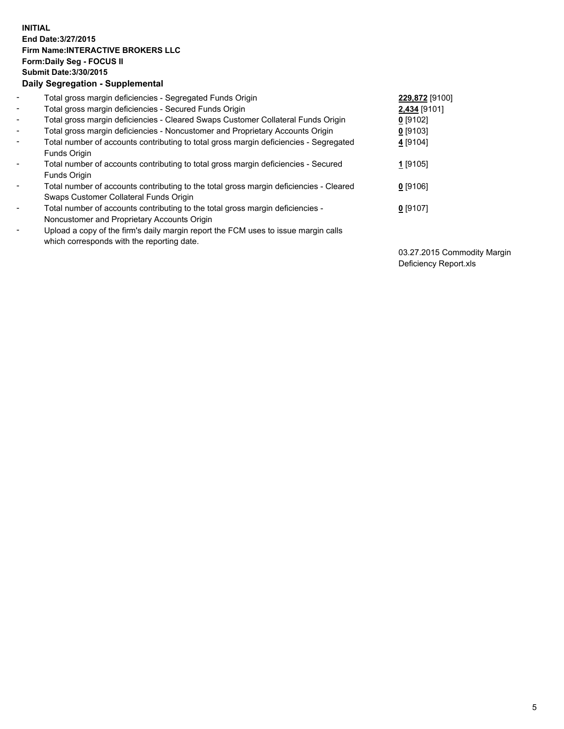## **INITIAL End Date:3/27/2015 Firm Name:INTERACTIVE BROKERS LLC Form:Daily Seg - FOCUS II Submit Date:3/30/2015 Daily Segregation - Supplemental**

| $\blacksquare$               | Total gross margin deficiencies - Segregated Funds Origin                              | 229,872 [9100] |
|------------------------------|----------------------------------------------------------------------------------------|----------------|
| $\blacksquare$               | Total gross margin deficiencies - Secured Funds Origin                                 | 2,434 [9101]   |
| $\blacksquare$               | Total gross margin deficiencies - Cleared Swaps Customer Collateral Funds Origin       | $0$ [9102]     |
| $\blacksquare$               | Total gross margin deficiencies - Noncustomer and Proprietary Accounts Origin          | $0$ [9103]     |
| $\blacksquare$               | Total number of accounts contributing to total gross margin deficiencies - Segregated  | 4 [9104]       |
|                              | Funds Origin                                                                           |                |
| $\blacksquare$               | Total number of accounts contributing to total gross margin deficiencies - Secured     | 1 [9105]       |
|                              | <b>Funds Origin</b>                                                                    |                |
| Ξ.                           | Total number of accounts contributing to the total gross margin deficiencies - Cleared | $0$ [9106]     |
|                              | Swaps Customer Collateral Funds Origin                                                 |                |
| $\overline{\phantom{a}}$     | Total number of accounts contributing to the total gross margin deficiencies -         | $0$ [9107]     |
|                              | Noncustomer and Proprietary Accounts Origin                                            |                |
| $\qquad \qquad \blacksquare$ | Upload a copy of the firm's daily margin report the FCM uses to issue margin calls     |                |
|                              | which corresponds with the reporting date.                                             |                |

03.27.2015 Commodity Margin Deficiency Report.xls